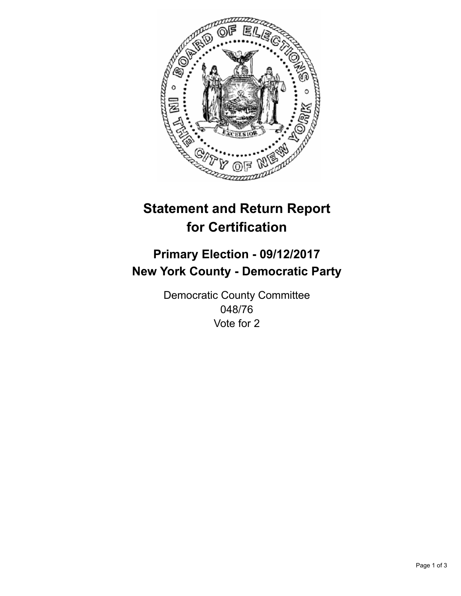

## **Statement and Return Report for Certification**

## **Primary Election - 09/12/2017 New York County - Democratic Party**

Democratic County Committee 048/76 Vote for 2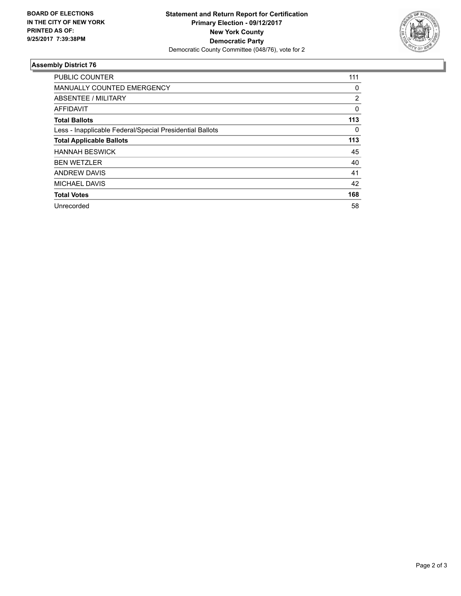

## **Assembly District 76**

| <b>PUBLIC COUNTER</b>                                    | 111      |
|----------------------------------------------------------|----------|
| MANUALLY COUNTED EMERGENCY                               | 0        |
| ABSENTEE / MILITARY                                      | 2        |
| <b>AFFIDAVIT</b>                                         | $\Omega$ |
| <b>Total Ballots</b>                                     | 113      |
| Less - Inapplicable Federal/Special Presidential Ballots | 0        |
| <b>Total Applicable Ballots</b>                          | 113      |
| <b>HANNAH BESWICK</b>                                    | 45       |
| <b>BEN WETZLER</b>                                       | 40       |
| <b>ANDREW DAVIS</b>                                      | 41       |
| <b>MICHAEL DAVIS</b>                                     | 42       |
| <b>Total Votes</b>                                       | 168      |
| Unrecorded                                               | 58       |